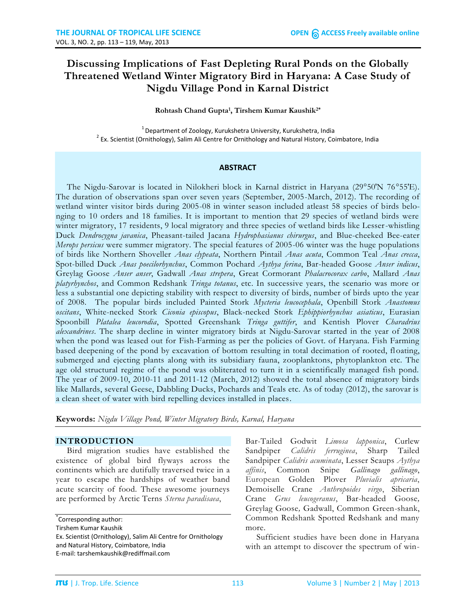# **Discussing Implications of Fast Depleting Rural Ponds on the Globally Threatened Wetland Winter Migratory Bird in Haryana: A Case Study of Nigdu Village Pond in Karnal District**

### **Rohtash Chand Gupta<sup>1</sup> , Tirshem Kumar Kaushik2\***

 $1$  Department of Zoology, Kurukshetra University, Kurukshetra, India  $^{2}$  Ex. Scientist (Ornithology), Salim Ali Centre for Ornithology and Natural History, Coimbatore, India

### **ABSTRACT**

The Nigdu-Sarovar is located in Nilokheri block in Karnal district in Haryana (29°50′N 76°55′E). The duration of observations span over seven years (September, 2005-March, 2012). The recording of wetland winter visitor birds during 2005-08 in winter season included atleast 58 species of birds belonging to 10 orders and 18 families. It is important to mention that 29 species of wetland birds were winter migratory, 17 residents, 9 local migratory and three species of wetland birds like Lesser-whistling Duck *Dendrocygna javanica*, Pheasant-tailed Jacana *Hydrophasianus chirurgus*, and Blue-cheeked Bee-eater *Merops persicus* were summer migratory. The special features of 2005-06 winter was the huge populations of birds like Northern Shoveller *Anas clypeata*, Northern Pintail *Anas acuta*, Common Teal *Anas crecca*, Spot-billed Duck *Anas poecilorhynchus*, Common Pochard *Aythya ferina*, Bar-headed Goose *Anser indicus*, Greylag Goose *Anser anser*, Gadwall *Anas strepera*, Great Cormorant *Phalacrocorax carbo*, Mallard *Anas platyrhynchos*, and Common Redshank *Tringa totanus*, etc. In successive years, the scenario was more or less a substantial one depicting stability with respect to diversity of birds, number of birds upto the year of 2008. The popular birds included Painted Stork *Mycteria leucocephala*, Openbill Stork *Anastomus oscitans*, White-necked Stork *Ciconia episcopus*, Black-necked Stork *Ephippiorhynchus asiaticus*, Eurasian Spoonbill *Platalea leucorodia*, Spotted Greenshank *Tringa guttifer*, and Kentish Plover *Charadrius alexandrines*. The sharp decline in winter migratory birds at Nigdu-Sarovar started in the year of 2008 when the pond was leased out for Fish-Farming as per the policies of Govt. of Haryana. Fish Farming based deepening of the pond by excavation of bottom resulting in total decimation of rooted, floating, submerged and ejecting plants along with its subsidiary fauna, zooplanktons, phytoplankton etc. The age old structural regime of the pond was obliterated to turn it in a scientifically managed fish pond. The year of 2009-10, 2010-11 and 2011-12 (March, 2012) showed the total absence of migratory birds like Mallards, several Geese, Dabbling Ducks, Pochards and Teals etc. As of today (2012), the sarovar is a clean sheet of water with bird repelling devices installed in places.

**Keywords:** *Nigdu Village Pond, Winter Migratory Birds, Karnal, Haryana*

### **INTRODUCTION**

Bird migration studies have established the existence of global bird flyways across the continents which are dutifully traversed twice in a year to escape the hardships of weather band acute scarcity of food. These awesome journeys are performed by Arctic Terns *Sterna paradisaea*,

\* Corresponding author: Tirshem Kumar Kaushik Ex. Scientist (Ornithology), Salim Ali Centre for Ornithology and Natural History, Coimbatore, India E-mail: tarshemkaushik@rediffmail.com

Bar-Tailed Godwit *Limosa lapponica*, Curlew Sandpiper *Calidris ferruginea*, Sharp Tailed Sandpiper *Calidris acuminata*, Lesser Scaups *Aythya affinis*, Common Snipe *Gallinago gallinago*, European Golden Plover *Pluvialis apricaria*, Demoiselle Crane *Anthropoides virgo*, Siberian Crane *Grus leucogeranus*, Bar-headed Goose*,* Greylag Goose*,* Gadwall, Common Green-shank, Common Redshank Spotted Redshank and many more.

Sufficient studies have been done in Haryana with an attempt to discover the spectrum of win-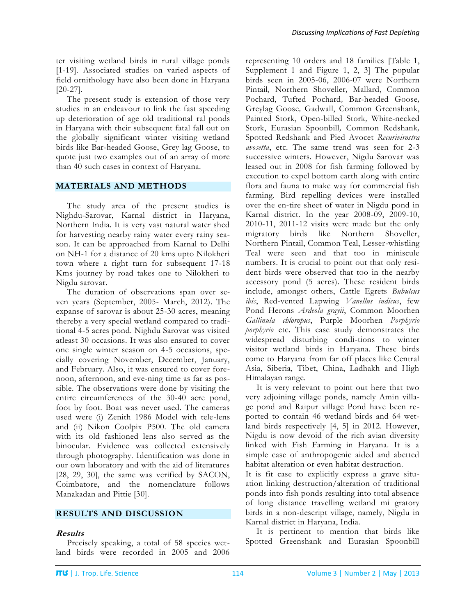ter visiting wetland birds in rural village ponds [1-19]. Associated studies on varied aspects of field ornithology have also been done in Haryana [20-27].

The present study is extension of those very studies in an endeavour to link the fast speeding up deterioration of age old traditional ral ponds in Haryana with their subsequent fatal fall out on the globally significant winter visiting wetland birds like Bar-headed Goose, Grey lag Goose, to quote just two examples out of an array of more than 40 such cases in context of Haryana.

## **MATERIALS AND METHODS**

The study area of the present studies is Nighdu-Sarovar, Karnal district in Haryana, Northern India. It is very vast natural water shed for harvesting nearby rainy water every rainy season. It can be approached from Karnal to Delhi on NH-1 for a distance of 20 kms upto Nilokheri town where a right turn for subsequent 17-18 Kms journey by road takes one to Nilokheri to Nigdu sarovar.

The duration of observations span over seven years (September, 2005- March, 2012). The expanse of sarovar is about 25-30 acres, meaning thereby a very special wetland compared to traditional 4-5 acres pond. Nighdu Sarovar was visited atleast 30 occasions. It was also ensured to cover one single winter season on 4-5 occasions, specially covering November, December, January, and February. Also, it was ensured to cover forenoon, afternoon, and eve-ning time as far as possible. The observations were done by visiting the entire circumferences of the 30-40 acre pond, foot by foot. Boat was never used. The cameras used were (i) Zenith 1986 Model with tele-lens and (ii) Nikon Coolpix P500. The old camera with its old fashioned lens also served as the binocular. Evidence was collected extensively through photography. Identification was done in our own laboratory and with the aid of literatures [28, 29, 30], the same was verified by SACON, Coimbatore, and the nomenclature follows Manakadan and Pittie [30].

## **RESULTS AND DISCUSSION**

## **Results**

Precisely speaking, a total of 58 species wetland birds were recorded in 2005 and 2006 representing 10 orders and 18 families [Table 1, Supplement 1 and Figure 1, 2, 3] The popular birds seen in 2005-06, 2006-07 were Northern Pintail*,* Northern Shoveller*,* Mallard, Common Pochard, Tufted Pochard*,* Bar-headed Goose*,* Greylag Goose*,* Gadwall, Common Greenshank, Painted Stork, Open-billed Stork*,* White-necked Stork, Eurasian Spoonbill*,* Common Redshank*,*  Spotted Redshank and Pied Avocet *Recurivirostra avosetta*, etc. The same trend was seen for 2-3 successive winters. However, Nigdu Sarovar was leased out in 2008 for fish farming followed by execution to expel bottom earth along with entire flora and fauna to make way for commercial fish farming. Bird repelling devices were installed over the en-tire sheet of water in Nigdu pond in Karnal district. In the year 2008-09, 2009-10, 2010-11, 2011-12 visits were made but the only migratory birds like Northern Shoveller, Northern Pintail, Common Teal, Lesser-whistling Teal were seen and that too in miniscule numbers. It is crucial to point out that only resident birds were observed that too in the nearby accessory pond (5 acres). These resident birds include, amongst others, Cattle Egrets *Bubulcus ibis*, Red-vented Lapwing *Vanellus indicus*, few Pond Herons *Ardeola grayii*, Common Moorhen *Gallinula chloropus*, Purple Moorhen *Porphyrio porphyrio* etc. This case study demonstrates the widespread disturbing condi-tions to winter visitor wetland birds in Haryana. These birds come to Haryana from far off places like Central Asia, Siberia, Tibet, China, Ladhakh and High Himalayan range.

It is very relevant to point out here that two very adjoining village ponds, namely Amin village pond and Raipur village Pond have been reported to contain 46 wetland birds and 64 wetland birds respectively [4, 5] in 2012. However, Nigdu is now devoid of the rich avian diversity linked with Fish Farming in Haryana. It is a simple case of anthropogenic aided and abetted habitat alteration or even habitat destruction.

It is fit case to explicitly express a grave situation linking destruction/alteration of traditional ponds into fish ponds resulting into total absence of long distance travelling wetland mi gratory birds in a non-descript village, namely, Nigdu in Karnal district in Haryana, India.

It is pertinent to mention that birds like Spotted Greenshank and Eurasian Spoonbill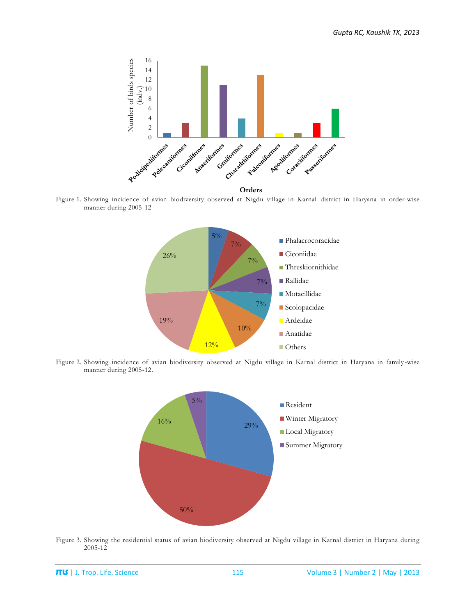

Figure 1. Showing incidence of avian biodiversity observed at Nigdu village in Karnal district in Haryana in order-wise manner during 2005-12



Figure 2. Showing incidence of avian biodiversity observed at Nigdu village in Karnal district in Haryana in family -wise manner during 2005-12.



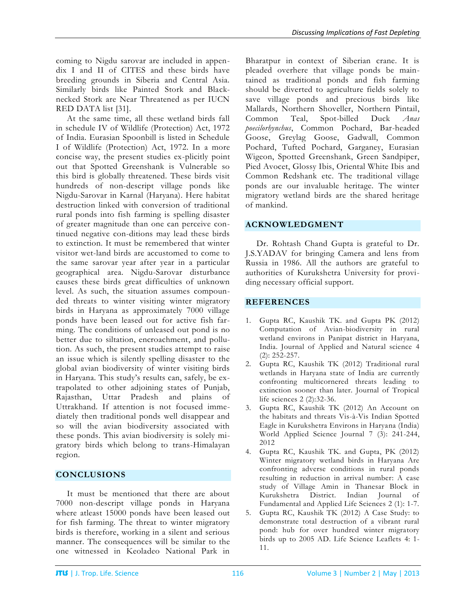coming to Nigdu sarovar are included in appendix I and II of CITES and these birds have breeding grounds in Siberia and Central Asia. Similarly birds like Painted Stork and Blacknecked Stork are Near Threatened as per IUCN RED DATA list [31].

At the same time, all these wetland birds fall in schedule IV of Wildlife (Protection) Act, 1972 of India. Eurasian Spoonbill is listed in Schedule I of Wildlife (Protection) Act, 1972. In a more concise way, the present studies ex-plicitly point out that Spotted Greenshank is Vulnerable so this bird is globally threatened. These birds visit hundreds of non-descript village ponds like Nigdu-Sarovar in Karnal (Haryana). Here habitat destruction linked with conversion of traditional rural ponds into fish farming is spelling disaster of greater magnitude than one can perceive continued negative con-ditions may lead these birds to extinction. It must be remembered that winter visitor wet-land birds are accustomed to come to the same sarovar year after year in a particular geographical area. Nigdu-Sarovar disturbance causes these birds great difficulties of unknown level. As such, the situation assumes compounded threats to winter visiting winter migratory birds in Haryana as approximately 7000 village ponds have been leased out for active fish farming. The conditions of unleased out pond is no better due to siltation, encroachment, and pollution. As such, the present studies attempt to raise an issue which is silently spelling disaster to the global avian biodiversity of winter visiting birds in Haryana. This study's results can, safely, be extrapolated to other adjoining states of Punjab, Rajasthan, Uttar Pradesh and plains of Uttrakhand. If attention is not focused immediately then traditional ponds well disappear and so will the avian biodiversity associated with these ponds. This avian biodiversity is solely migratory birds which belong to trans-Himalayan region.

## **CONCLUSIONS**

It must be mentioned that there are about 7000 non-descript village ponds in Haryana where atleast 15000 ponds have been leased out for fish farming. The threat to winter migratory birds is therefore, working in a silent and serious manner. The consequences will be similar to the one witnessed in Keoladeo National Park in

Bharatpur in context of Siberian crane. It is pleaded overhere that village ponds be maintained as traditional ponds and fish farming should be diverted to agriculture fields solely to save village ponds and precious birds like Mallards, Northern Shoveller, Northern Pintail, Common Teal, Spot-billed Duck *Anas poecilorhynchus*, Common Pochard, Bar-headed Goose, Greylag Goose, Gadwall, Common Pochard, Tufted Pochard, Garganey, Eurasian Wigeon, Spotted Greenshank, Green Sandpiper, Pied Avocet, Glossy Ibis, Oriental White Ibis and Common Redshank etc. The traditional village ponds are our invaluable heritage. The winter migratory wetland birds are the shared heritage of mankind.

## **ACKNOWLEDGMENT**

Dr. Rohtash Chand Gupta is grateful to Dr. J.S.YADAV for bringing Camera and lens from Russia in 1986. All the authors are grateful to authorities of Kurukshetra University for providing necessary official support.

## **REFERENCES**

- 1. Gupta RC, Kaushik TK. and Gupta PK (2012) Computation of Avian-biodiversity in rural wetland environs in Panipat district in Haryana, India. Journal of Applied and Natural science 4 (2): 252-257.
- 2. Gupta RC, Kaushik TK (2012) Traditional rural wetlands in Haryana state of India are currently confronting multicornered threats leading to extinction sooner than later. Journal of Tropical life sciences 2 (2):32-36.
- 3. Gupta RC, Kaushik TK (2012) An Account on the habitats and threats Vis-à-Vis Indian Spotted Eagle in Kurukshetra Environs in Haryana (India) World Applied Science Journal 7 (3): 241-244, 2012
- 4. Gupta RC, Kaushik TK. and Gupta, PK (2012) Winter migratory wetland birds in Haryana Are confronting adverse conditions in rural ponds resulting in reduction in arrival number: A case study of Village Amin in Thanesar Block in Kurukshetra District. Indian Journal of Fundamental and Applied Life Sciences 2 (1): 1-7.
- 5. Gupta RC, Kaushik TK (2012) A Case Study: to demonstrate total destruction of a vibrant rural pond: hub for over hundred winter migratory birds up to 2005 AD. Life Science Leaflets 4: 1- 11.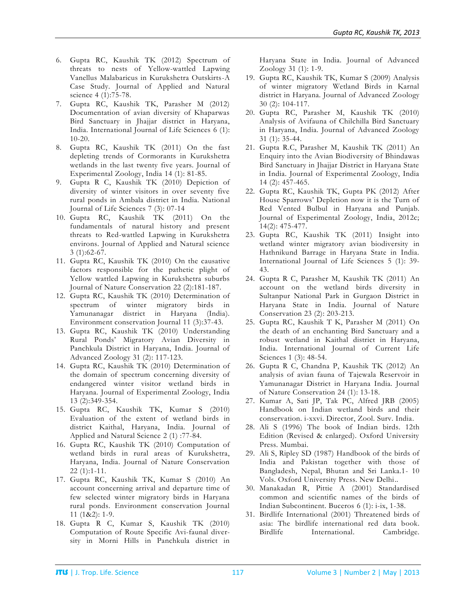- 6. Gupta RC, Kaushik TK (2012) Spectrum of threats to nests of Yellow-wattled Lapwing Vanellus Malabaricus in Kurukshetra Outskirts-A Case Study. Journal of Applied and Natural science 4 (1):75-78.
- 7. Gupta RC, Kaushik TK, Parasher M (2012) Documentation of avian diversity of Khaparwas Bird Sanctuary in Jhajjar district in Haryana, India. International Journal of Life Sciences 6 (1): 10-20.
- 8. Gupta RC, Kaushik TK (2011) On the fast depleting trends of Cormorants in Kurukshetra wetlands in the last twenty five years. Journal of Experimental Zoology, India 14 (1): 81-85.
- 9. Gupta R C, Kaushik TK (2010) Depiction of diversity of winter visitors in over seventy five rural ponds in Ambala district in India. National Journal of Life Sciences 7 (3): 07-14
- 10. Gupta RC, Kaushik TK (2011) On the fundamentals of natural history and present threats to Red-wattled Lapwing in Kurukshetra environs. Journal of Applied and Natural science 3 (1):62-67.
- 11. Gupta RC, Kaushik TK (2010) On the causative factors responsible for the pathetic plight of Yellow wattled Lapwing in Kurukshetra suburbs Journal of Nature Conservation 22 (2):181-187.
- 12. Gupta RC, Kaushik TK (2010) Determination of spectrum of winter migratory birds in Yamunanagar district in Haryana (India). Environment conservation Journal 11 (3):37-43.
- 13. Gupta RC, Kaushik TK (2010) Understanding Rural Ponds' Migratory Avian Diversity in Panchkula District in Haryana, India. Journal of Advanced Zoology 31 (2): 117-123.
- 14. Gupta RC, Kaushik TK (2010) Determination of the domain of spectrum concerning diversity of endangered winter visitor wetland birds in Haryana. Journal of Experimental Zoology, India 13 (2):349-354.
- 15. Gupta RC, Kaushik TK, Kumar S (2010) Evaluation of the extent of wetland birds in district Kaithal, Haryana, India. Journal of Applied and Natural Science 2 (1) :77-84.
- 16. Gupta RC, Kaushik TK (2010) Computation of wetland birds in rural areas of Kurukshetra, Haryana, India. Journal of Nature Conservation 22 (1):1-11.
- 17. Gupta RC, Kaushik TK, Kumar S (2010) An account concerning arrival and departure time of few selected winter migratory birds in Haryana rural ponds. Environment conservation Journal 11 (1&2): 1-9.
- 18. Gupta R C, Kumar S, Kaushik TK (2010) Computation of Route Specific Avi-faunal diversity in Morni Hills in Panchkula district in

Haryana State in India. Journal of Advanced Zoology 31 (1): 1-9.

- 19. Gupta RC, Kaushik TK, Kumar S (2009) Analysis of winter migratory Wetland Birds in Karnal district in Haryana. Journal of Advanced Zoology 30 (2): 104-117.
- 20. Gupta RC, Parasher M, Kaushik TK (2010) Analysis of Avifauna of Chilchilla Bird Sanctuary in Haryana, India. Journal of Advanced Zoology 31 (1): 35-44.
- 21. Gupta R.C, Parasher M, Kaushik TK (2011) An Enquiry into the Avian Biodiversity of Bhindawas Bird Sanctuary in Jhajjar District in Haryana State in India. Journal of Experimental Zoology, India 14 (2): 457-465.
- 22. Gupta RC, Kaushik TK, Gupta PK (2012) After House Sparrows' Depletion now it is the Turn of Red Vented Bulbul in Haryana and Punjab. Journal of Experimental Zoology, India, 2012c; 14(2): 475-477.
- 23. Gupta RC, Kaushik TK (2011) Insight into wetland winter migratory avian biodiversity in Hathnikund Barrage in Haryana State in India. International Journal of Life Sciences 5 (1): 39- 43.
- 24. Gupta R C, Parasher M, Kaushik TK (2011) An account on the wetland birds diversity in Sultanpur National Park in Gurgaon District in Haryana State in India. Journal of Nature Conservation 23 (2): 203-213.
- 25. Gupta RC, Kaushik T K, Parasher M (2011) On the death of an enchanting Bird Sanctuary and a robust wetland in Kaithal district in Haryana, India. International Journal of Current Life Sciences 1 (3): 48-54.
- 26. Gupta R C, Chandna P, Kaushik TK (2012) An analysis of avian fauna of Tajewala Reservoir in Yamunanagar District in Haryana India. Journal of Nature Conservation 24 (1): 13-18.
- 27. Kumar A, Sati JP, Tak PC, Alfred JRB (2005) Handbook on Indian wetland birds and their conservation. i-xxvi. Director, Zool. Surv. India.
- 28. Ali S (1996) The book of Indian birds. 12th Edition (Revised & enlarged). Oxford University Press. Mumbai.
- 29. Ali S, Ripley SD (1987) Handbook of the birds of India and Pakistan together with those of Bangladesh, Nepal, Bhutan and Sri Lanka.1- 10 Vols. Oxford University Press. New Delhi..
- 30. Manakadan R, Pittie A (2001) Standardised common and scientific names of the birds of Indian Subcontinent. Buceros 6 (1): i-ix, 1-38.
- 31. Birdlife International (2001) Threatened birds of asia: The birdlife international red data book. Birdlife International. Cambridge.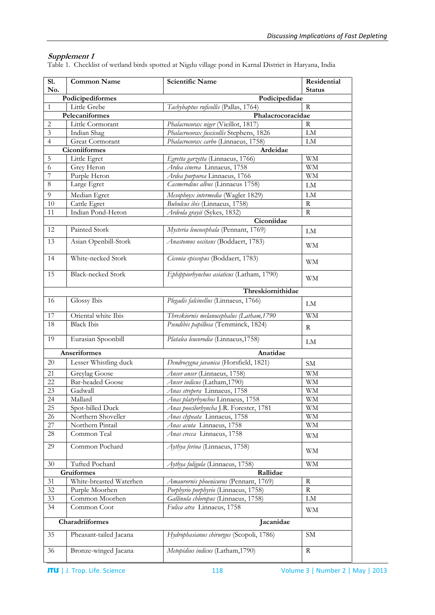## **Supplement 1**

Table 1. Checklist of wetland birds spotted at Nigdu village pond in Karnal District in Haryana, India

| Sl.                          | Common Name                       | <b>Scientific Name</b>                                     | Residential   |  |  |
|------------------------------|-----------------------------------|------------------------------------------------------------|---------------|--|--|
| No.                          |                                   |                                                            | <b>Status</b> |  |  |
| $\mathbf{1}$                 | Podicipediformes<br>Podicipedidae |                                                            |               |  |  |
|                              | Little Grebe<br>Pelecaniformes    | Tachybaptus ruficollis (Pallas, 1764)<br>Phalacrocoracidae | R             |  |  |
| $\sqrt{2}$                   | Little Cormorant                  | Phalacrocorax niger (Vieillot, 1817)                       | R             |  |  |
| $\mathfrak{Z}$               | Indian Shag                       | Phalacrocorax fuscicollis Stephens, 1826                   | <b>LM</b>     |  |  |
| $\overline{4}$               | Great Cormorant                   | Phalacrocorax carbo (Linnaeus, 1758)                       | LM            |  |  |
|                              | <b>Ciconiiformes</b><br>Ardeidae  |                                                            |               |  |  |
| 5                            | Little Egret                      | Egretta garzetta (Linnaeus, 1766)                          | <b>WM</b>     |  |  |
| 6                            | Grey Heron                        | Ardea cinerea Linnaeus, 1758                               | <b>WM</b>     |  |  |
| 7                            | Purple Heron                      | Ardea purpurea Linnaeus, 1766                              | WM            |  |  |
| $\,8\,$                      | Large Egret                       | Casmerodius albus (Linnaeus 1758)                          | LM            |  |  |
| 9                            | Median Egret                      | Mesophoyx intermedia (Wagler 1829)                         | LM            |  |  |
| 10                           | Cattle Egret                      | Bubulcus ibis (Linnaeus, 1758)                             | R             |  |  |
| 11                           | Indian Pond-Heron                 | Ardeola grayii (Sykes, 1832)                               | R             |  |  |
|                              |                                   | Ciconiidae                                                 |               |  |  |
| 12                           | Painted Stork                     | Mycteria leucocephala (Pennant, 1769)                      |               |  |  |
|                              |                                   |                                                            | LM            |  |  |
| 13                           | Asian Openbill-Stork              | Anastomus oscitans (Boddaert, 1783)                        | <b>WM</b>     |  |  |
| 14                           | White-necked Stork                | Ciconia episcopus (Boddaert, 1783)                         | <b>WM</b>     |  |  |
| 15                           | <b>Black-necked Stork</b>         | Ephippiorhynchus asiaticus (Latham, 1790)                  | WM            |  |  |
|                              |                                   | Threskiornithidae                                          |               |  |  |
| 16                           | Glossy Ibis                       | Plegadis falcinellus (Linnaeus, 1766)                      | LM            |  |  |
| 17                           | Oriental white Ibis               | Threskiornis melanocephalus (Latham, 1790                  | <b>WM</b>     |  |  |
| 18                           | <b>Black Ibis</b>                 | Pseudibis papillosa (Temminck, 1824)                       | R             |  |  |
| 19                           | Eurasian Spoonbill                | Platalea leucorodia (Linnaeus, 1758)                       | LM            |  |  |
| Anseriformes<br>Anatidae     |                                   |                                                            |               |  |  |
| 20                           | Lesser Whistling duck             | Dendrocygna javanica (Horsfield, 1821)                     | SM            |  |  |
| 21                           | Greylag Goose                     | Anser anser (Linnaeus, 1758)                               | WМ            |  |  |
| 22                           | <b>Bar-headed Goose</b>           | Anser indicus (Latham, 1790)                               | <b>WM</b>     |  |  |
| 23                           | Gadwall                           | Anas strepera Linnaeus, 1758                               | <b>WM</b>     |  |  |
| 24                           | Mallard                           | Anas platyrhynchos Linnaeus, 1758                          | WM            |  |  |
| 25                           | Spot-billed Duck                  | Anas poecilorhyncha J.R. Forester, 1781                    | WM            |  |  |
| 26                           | Northern Shoveller                | Anas clypeata Linnaeus, 1758                               | WM            |  |  |
| 27                           | Northern Pintail                  | Anas acuta Linnaeus, 1758                                  | WМ            |  |  |
| 28                           | Common Teal                       | Anas crecca Linnaeus, 1758                                 | WМ            |  |  |
| 29                           | Common Pochard                    | Aythya ferina (Linnaeus, 1758)                             | WM            |  |  |
| 30                           | Tufted Pochard                    | Aythya fuligula (Linnaeus, 1758)                           | <b>WM</b>     |  |  |
|                              | Gruiformes                        | Rallidae                                                   |               |  |  |
| 31                           | White-breasted Waterhen           | Amaurornis phoenicurus (Pennant, 1769)                     | R             |  |  |
| 32                           | Purple Moorhen                    | Porphyrio porphyrio (Linnaeus, 1758)                       | R             |  |  |
| 33                           | Common Moorhen                    | Gallinula chloropus (Linnaeus, 1758)                       | ${\rm LM}$    |  |  |
| 34                           | Common Coot                       | Fulica atra Linnaeus, 1758                                 | WМ            |  |  |
| Charadriiformes<br>Jacanidae |                                   |                                                            |               |  |  |
| 35                           | Pheasant-tailed Jacana            | Hydrophasianus chirurgus (Scopoli, 1786)                   | ${\rm SM}$    |  |  |
| 36                           | Bronze-winged Jacana              | Metopidius indicus (Latham, 1790)                          | R             |  |  |